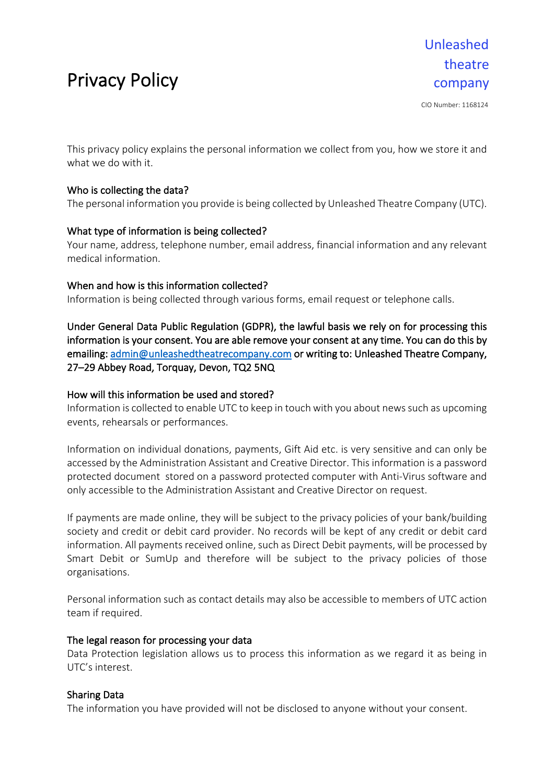# Privacy Policy

CIO Number: 1168124

This privacy policy explains the personal information we collect from you, how we store it and what we do with it.

# Who is collecting the data?

The personal information you provide is being collected by Unleashed Theatre Company (UTC).

# What type of information is being collected?

Your name, address, telephone number, email address, financial information and any relevant medical information.

# When and how is this information collected?

Information is being collected through various forms, email request or telephone calls.

Under General Data Public Regulation (GDPR), the lawful basis we rely on for processing this information is your consent. You are able remove your consent at any time. You can do this by emailing: admin@unleashedtheatrecompany.com or writing to: Unleashed Theatre Company, 27–29 Abbey Road, Torquay, Devon, TQ2 5NQ

### How will this information be used and stored?

Information is collected to enable UTC to keep in touch with you about news such as upcoming events, rehearsals or performances.

Information on individual donations, payments, Gift Aid etc. is very sensitive and can only be accessed by the Administration Assistant and Creative Director. This information is a password protected document stored on a password protected computer with Anti-Virus software and only accessible to the Administration Assistant and Creative Director on request.

If payments are made online, they will be subject to the privacy policies of your bank/building society and credit or debit card provider. No records will be kept of any credit or debit card information. All payments received online, such as Direct Debit payments, will be processed by Smart Debit or SumUp and therefore will be subject to the privacy policies of those organisations.

Personal information such as contact details may also be accessible to members of UTC action team if required.

#### The legal reason for processing your data

Data Protection legislation allows us to process this information as we regard it as being in UTC's interest.

# Sharing Data

The information you have provided will not be disclosed to anyone without your consent.